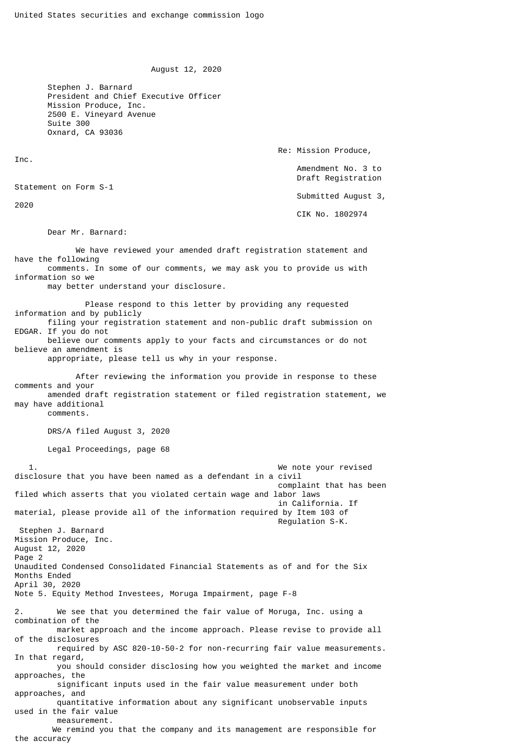August 12, 2020

 Stephen J. Barnard President and Chief Executive Officer Mission Produce, Inc. 2500 E. Vineyard Avenue Suite 300 Oxnard, CA 93036

Inc.

2020

Re: Mission Produce,

 Amendment No. 3 to Draft Registration

Submitted August 3,

CIK No. 1802974

Dear Mr. Barnard:

Statement on Form S-1

 We have reviewed your amended draft registration statement and have the following comments. In some of our comments, we may ask you to provide us with information so we may better understand your disclosure.

 Please respond to this letter by providing any requested information and by publicly filing your registration statement and non-public draft submission on EDGAR. If you do not believe our comments apply to your facts and circumstances or do not believe an amendment is

appropriate, please tell us why in your response.

 After reviewing the information you provide in response to these comments and your amended draft registration statement or filed registration statement, we may have additional comments.

DRS/A filed August 3, 2020

Legal Proceedings, page 68

 1. We note your revised disclosure that you have been named as a defendant in a civil complaint that has been filed which asserts that you violated certain wage and labor laws in California. If material, please provide all of the information required by Item 103 of Regulation S-K. Stephen J. Barnard Mission Produce, Inc. August 12, 2020 Page 2 Unaudited Condensed Consolidated Financial Statements as of and for the Six Months Ended April 30, 2020 Note 5. Equity Method Investees, Moruga Impairment, page F-8 2. We see that you determined the fair value of Moruga, Inc. using a combination of the market approach and the income approach. Please revise to provide all of the disclosures required by ASC 820-10-50-2 for non-recurring fair value measurements. In that regard, you should consider disclosing how you weighted the market and income approaches, the significant inputs used in the fair value measurement under both approaches, and quantitative information about any significant unobservable inputs used in the fair value measurement. We remind you that the company and its management are responsible for

the accuracy